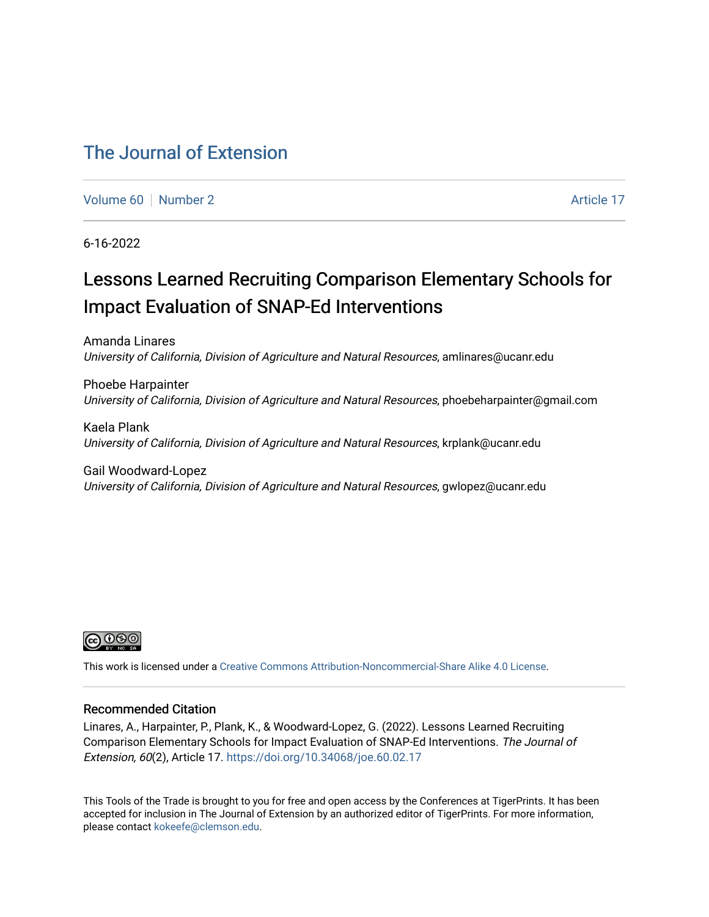### [The Journal of Extension](https://tigerprints.clemson.edu/joe)

[Volume 60](https://tigerprints.clemson.edu/joe/vol60) [Number 2](https://tigerprints.clemson.edu/joe/vol60/iss2) Article 17

6-16-2022

# Lessons Learned Recruiting Comparison Elementary Schools for Impact Evaluation of SNAP-Ed Interventions

Amanda Linares University of California, Division of Agriculture and Natural Resources, amlinares@ucanr.edu

Phoebe Harpainter University of California, Division of Agriculture and Natural Resources, phoebeharpainter@gmail.com

Kaela Plank University of California, Division of Agriculture and Natural Resources, krplank@ucanr.edu

Gail Woodward-Lopez University of California, Division of Agriculture and Natural Resources, gwlopez@ucanr.edu



This work is licensed under a [Creative Commons Attribution-Noncommercial-Share Alike 4.0 License.](https://creativecommons.org/licenses/by-nc-sa/4.0/)

#### Recommended Citation

Linares, A., Harpainter, P., Plank, K., & Woodward-Lopez, G. (2022). Lessons Learned Recruiting Comparison Elementary Schools for Impact Evaluation of SNAP-Ed Interventions. The Journal of Extension, 60(2), Article 17. <https://doi.org/10.34068/joe.60.02.17>

This Tools of the Trade is brought to you for free and open access by the Conferences at TigerPrints. It has been accepted for inclusion in The Journal of Extension by an authorized editor of TigerPrints. For more information, please contact [kokeefe@clemson.edu](mailto:kokeefe@clemson.edu).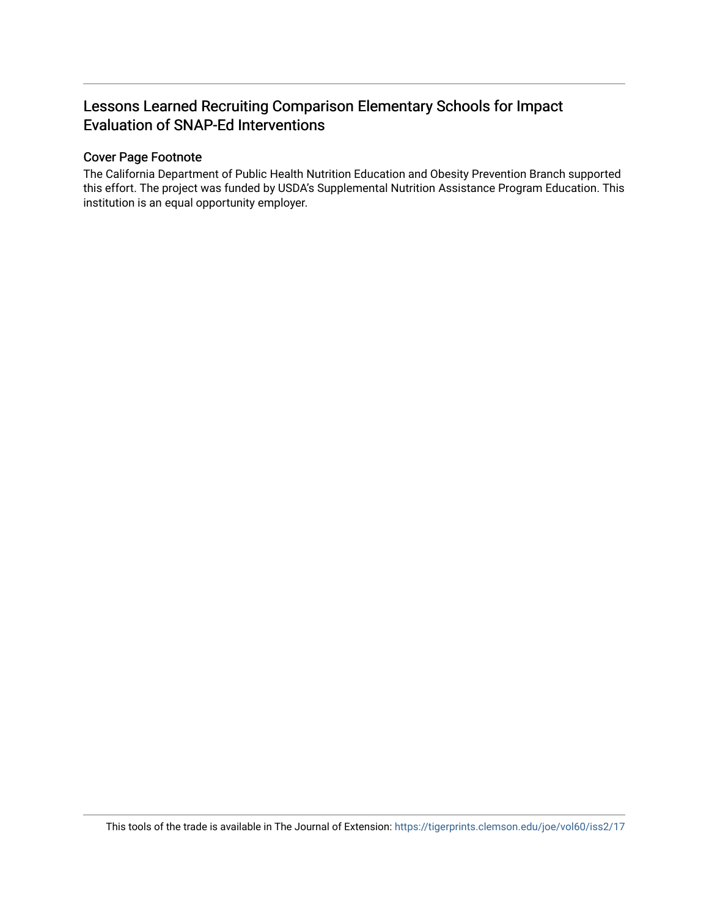### Lessons Learned Recruiting Comparison Elementary Schools for Impact Evaluation of SNAP-Ed Interventions

#### Cover Page Footnote

The California Department of Public Health Nutrition Education and Obesity Prevention Branch supported this effort. The project was funded by USDA's Supplemental Nutrition Assistance Program Education. This institution is an equal opportunity employer.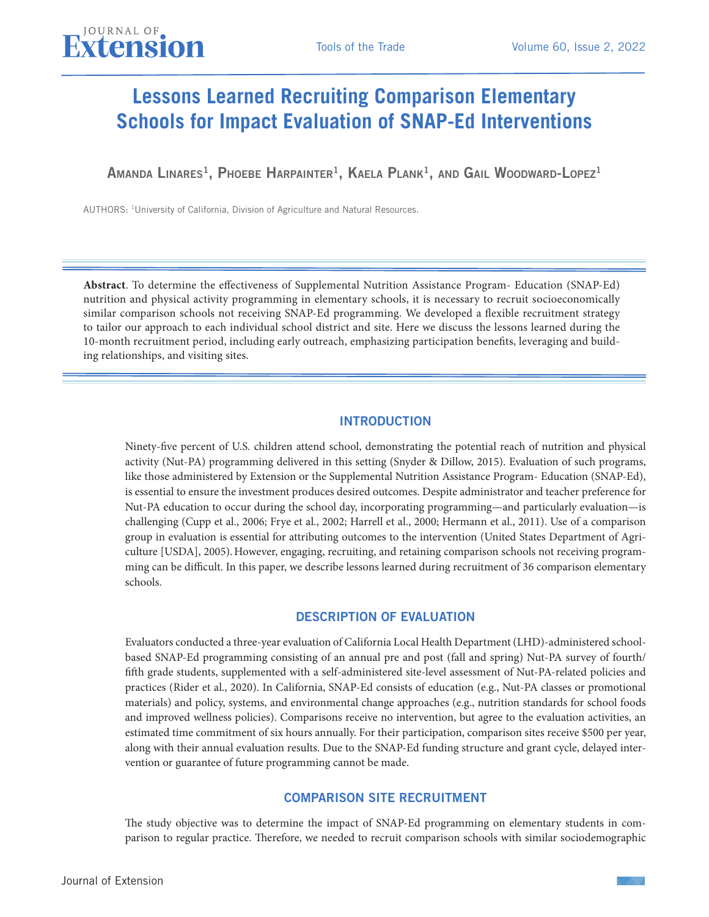## **Lessons Learned Recruiting Comparison Elementary Schools for Impact Evaluation of SNAP-Ed Interventions**

Amanda Linares<sup>1</sup>, Phoebe Harpainter<sup>1</sup>, Kaela Plank<sup>1</sup>, and Gail Woodward-Lopez<sup>1</sup>

AUTHORS: 1University of California, Division of Agriculture and Natural Resources.

JOURNAL OF

**Abstract**. To determine the effectiveness of Supplemental Nutrition Assistance Program- Education (SNAP-Ed) nutrition and physical activity programming in elementary schools, it is necessary to recruit socioeconomically similar comparison schools not receiving SNAP-Ed programming. We developed a flexible recruitment strategy to tailor our approach to each individual school district and site. Here we discuss the lessons learned during the 10-month recruitment period, including early outreach, emphasizing participation benefits, leveraging and building relationships, and visiting sites.

#### INTRODUCTION

Ninety-five percent of U.S. children attend school, demonstrating the potential reach of nutrition and physical activity (Nut-PA) programming delivered in this setting (Snyder & Dillow, 2015). Evaluation of such programs, like those administered by Extension or the Supplemental Nutrition Assistance Program- Education (SNAP-Ed), is essential to ensure the investment produces desired outcomes. Despite administrator and teacher preference for Nut-PA education to occur during the school day, incorporating programming—and particularly evaluation—is challenging (Cupp et al., 2006; Frye et al., 2002; Harrell et al., 2000; Hermann et al., 2011). Use of a comparison group in evaluation is essential for attributing outcomes to the intervention (United States Department of Agriculture [USDA], 2005).However, engaging, recruiting, and retaining comparison schools not receiving programming can be difficult. In this paper, we describe lessons learned during recruitment of 36 comparison elementary schools.

#### DESCRIPTION OF EVALUATION

Evaluators conducted a three-year evaluation of California Local Health Department (LHD)-administered schoolbased SNAP-Ed programming consisting of an annual pre and post (fall and spring) Nut-PA survey of fourth/ fifth grade students, supplemented with a self-administered site-level assessment of Nut-PA-related policies and practices (Rider et al., 2020). In California, SNAP-Ed consists of education (e.g., Nut-PA classes or promotional materials) and policy, systems, and environmental change approaches (e.g., nutrition standards for school foods and improved wellness policies). Comparisons receive no intervention, but agree to the evaluation activities, an estimated time commitment of six hours annually. For their participation, comparison sites receive \$500 per year, along with their annual evaluation results. Due to the SNAP-Ed funding structure and grant cycle, delayed intervention or guarantee of future programming cannot be made.

#### COMPARISON SITE RECRUITMENT

The study objective was to determine the impact of SNAP-Ed programming on elementary students in comparison to regular practice. Therefore, we needed to recruit comparison schools with similar sociodemographic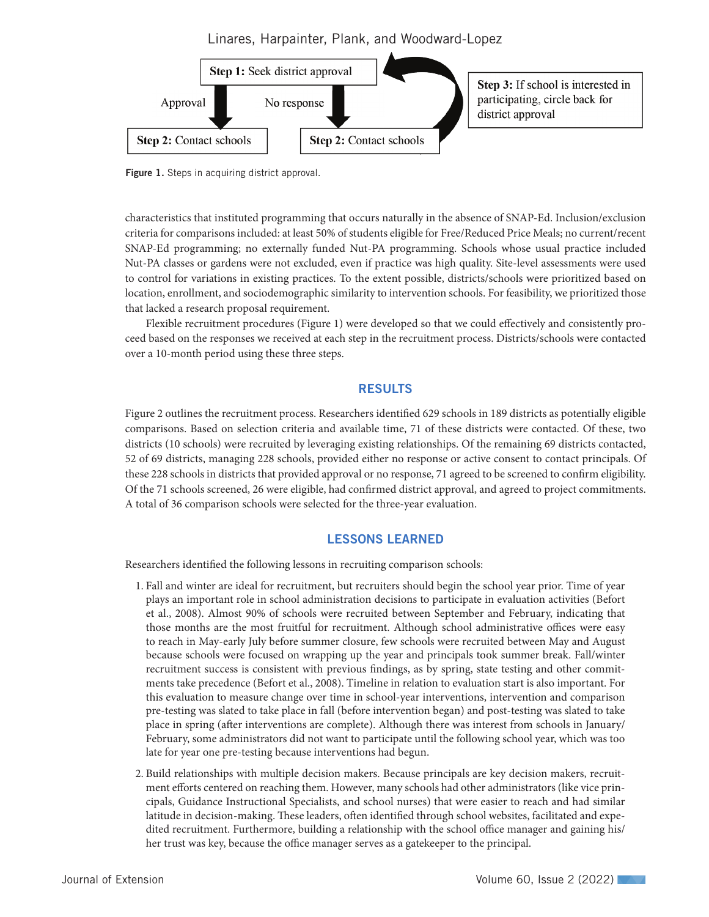Linares, Harpainter, Plank, and Woodward-Lopez



Figure 1. Steps in acquiring district approval.

characteristics that instituted programming that occurs naturally in the absence of SNAP-Ed. Inclusion/exclusion criteria for comparisons included: at least 50% of students eligible for Free/Reduced Price Meals; no current/recent SNAP-Ed programming; no externally funded Nut-PA programming. Schools whose usual practice included Nut-PA classes or gardens were not excluded, even if practice was high quality. Site-level assessments were used to control for variations in existing practices. To the extent possible, districts/schools were prioritized based on location, enrollment, and sociodemographic similarity to intervention schools. For feasibility, we prioritized those that lacked a research proposal requirement.

Flexible recruitment procedures (Figure 1) were developed so that we could effectively and consistently proceed based on the responses we received at each step in the recruitment process. Districts/schools were contacted over a 10-month period using these three steps.

#### RESULTS

Figure 2 outlines the recruitment process. Researchers identified 629 schools in 189 districts as potentially eligible comparisons. Based on selection criteria and available time, 71 of these districts were contacted. Of these, two districts (10 schools) were recruited by leveraging existing relationships. Of the remaining 69 districts contacted, 52 of 69 districts, managing 228 schools, provided either no response or active consent to contact principals. Of these 228 schools in districts that provided approval or no response, 71 agreed to be screened to confirm eligibility. Of the 71 schools screened, 26 were eligible, had confirmed district approval, and agreed to project commitments. A total of 36 comparison schools were selected for the three-year evaluation.

#### LESSONS LEARNED

Researchers identified the following lessons in recruiting comparison schools:

- 1. Fall and winter are ideal for recruitment, but recruiters should begin the school year prior. Time of year plays an important role in school administration decisions to participate in evaluation activities (Befort et al., 2008). Almost 90% of schools were recruited between September and February, indicating that those months are the most fruitful for recruitment. Although school administrative offices were easy to reach in May-early July before summer closure, few schools were recruited between May and August because schools were focused on wrapping up the year and principals took summer break. Fall/winter recruitment success is consistent with previous findings, as by spring, state testing and other commitments take precedence (Befort et al., 2008). Timeline in relation to evaluation start is also important. For this evaluation to measure change over time in school-year interventions, intervention and comparison pre-testing was slated to take place in fall (before intervention began) and post-testing was slated to take place in spring (after interventions are complete). Although there was interest from schools in January/ February, some administrators did not want to participate until the following school year, which was too late for year one pre-testing because interventions had begun.
- 2. Build relationships with multiple decision makers. Because principals are key decision makers, recruitment efforts centered on reaching them. However, many schools had other administrators (like vice principals, Guidance Instructional Specialists, and school nurses) that were easier to reach and had similar latitude in decision-making. These leaders, often identified through school websites, facilitated and expedited recruitment. Furthermore, building a relationship with the school office manager and gaining his/ her trust was key, because the office manager serves as a gatekeeper to the principal.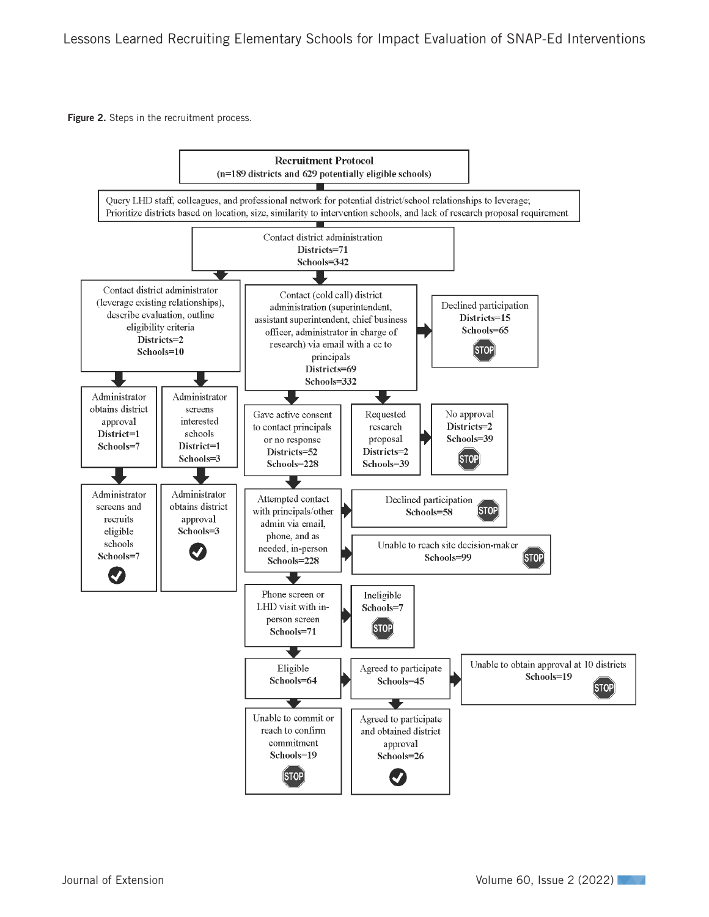Figure 2. Steps in the recruitment process.

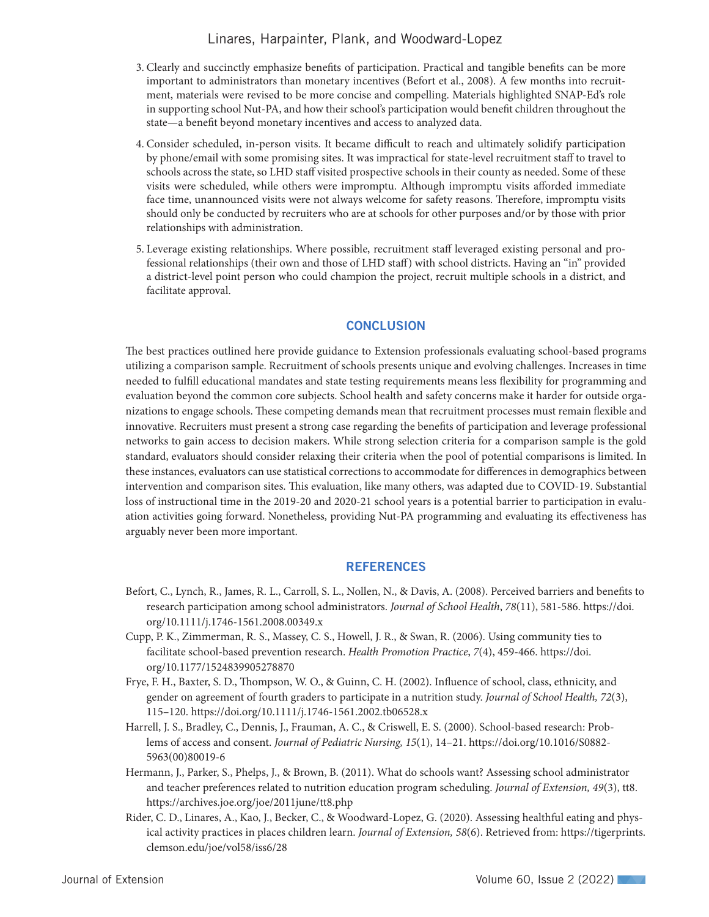#### Linares, Harpainter, Plank, and Woodward-Lopez

- 3. Clearly and succinctly emphasize benefits of participation. Practical and tangible benefits can be more important to administrators than monetary incentives (Befort et al., 2008). A few months into recruitment, materials were revised to be more concise and compelling. Materials highlighted SNAP-Ed's role in supporting school Nut-PA, and how their school's participation would benefit children throughout the state—a benefit beyond monetary incentives and access to analyzed data.
- 4. Consider scheduled, in-person visits. It became difficult to reach and ultimately solidify participation by phone/email with some promising sites. It was impractical for state-level recruitment staff to travel to schools across the state, so LHD staff visited prospective schools in their county as needed. Some of these visits were scheduled, while others were impromptu. Although impromptu visits afforded immediate face time, unannounced visits were not always welcome for safety reasons. Therefore, impromptu visits should only be conducted by recruiters who are at schools for other purposes and/or by those with prior relationships with administration.
- 5. Leverage existing relationships. Where possible, recruitment staff leveraged existing personal and professional relationships (their own and those of LHD staff) with school districts. Having an "in" provided a district-level point person who could champion the project, recruit multiple schools in a district, and facilitate approval.

#### **CONCLUSION**

The best practices outlined here provide guidance to Extension professionals evaluating school-based programs utilizing a comparison sample. Recruitment of schools presents unique and evolving challenges. Increases in time needed to fulfill educational mandates and state testing requirements means less flexibility for programming and evaluation beyond the common core subjects. School health and safety concerns make it harder for outside organizations to engage schools. These competing demands mean that recruitment processes must remain flexible and innovative. Recruiters must present a strong case regarding the benefits of participation and leverage professional networks to gain access to decision makers. While strong selection criteria for a comparison sample is the gold standard, evaluators should consider relaxing their criteria when the pool of potential comparisons is limited. In these instances, evaluators can use statistical corrections to accommodate for differences in demographics between intervention and comparison sites. This evaluation, like many others, was adapted due to COVID-19. Substantial loss of instructional time in the 2019-20 and 2020-21 school years is a potential barrier to participation in evaluation activities going forward. Nonetheless, providing Nut-PA programming and evaluating its effectiveness has arguably never been more important.

#### **REFERENCES**

- Befort, C., Lynch, R., James, R. L., Carroll, S. L., Nollen, N., & Davis, A. (2008). Perceived barriers and benefits to research participation among school administrators. *Journal of School Health*, *78*(11), 581-586. https://doi. org/10.1111/j.1746-1561.2008.00349.x
- Cupp, P. K., Zimmerman, R. S., Massey, C. S., Howell, J. R., & Swan, R. (2006). Using community ties to facilitate school-based prevention research. *Health Promotion Practice*, *7*(4), 459-466. https://doi. org/10.1177/1524839905278870
- Frye, F. H., Baxter, S. D., Thompson, W. O., & Guinn, C. H. (2002). Influence of school, class, ethnicity, and gender on agreement of fourth graders to participate in a nutrition study. *Journal of School Health, 72*(3), 115–120. https://doi.org/10.1111/j.1746-1561.2002.tb06528.x
- Harrell, J. S., Bradley, C., Dennis, J., Frauman, A. C., & Criswell, E. S. (2000). School-based research: Problems of access and consent. *Journal of Pediatric Nursing, 15*(1), 14–21. https://doi.org/10.1016/S0882- 5963(00)80019-6
- Hermann, J., Parker, S., Phelps, J., & Brown, B. (2011). What do schools want? Assessing school administrator and teacher preferences related to nutrition education program scheduling. *Journal of Extension, 49*(3), tt8. https://archives.joe.org/joe/2011june/tt8.php
- Rider, C. D., Linares, A., Kao, J., Becker, C., & Woodward-Lopez, G. (2020). Assessing healthful eating and physical activity practices in places children learn. *Journal of Extension, 58*(6). Retrieved from: https://tigerprints. clemson.edu/joe/vol58/iss6/28